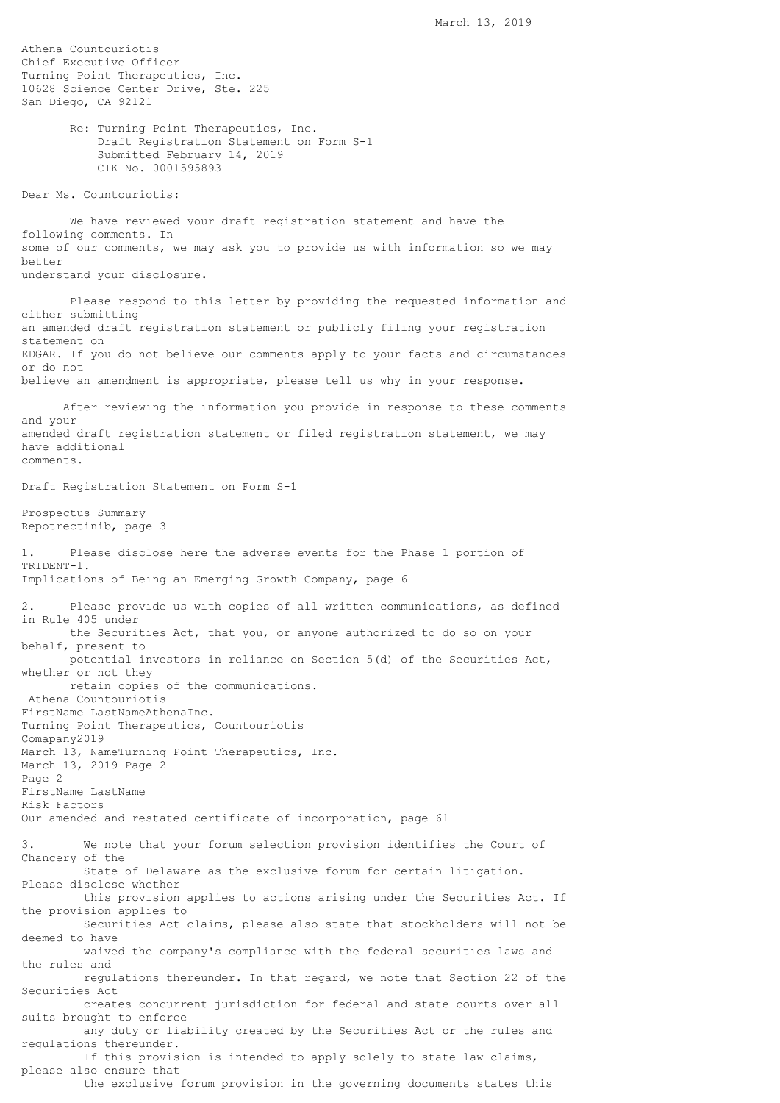Athena Countouriotis Chief Executive Officer Turning Point Therapeutics, Inc. 10628 Science Center Drive, Ste. 225 San Diego, CA 92121 Re: Turning Point Therapeutics, Inc. Draft Registration Statement on Form S-1 Submitted February 14, 2019 CIK No. 0001595893 Dear Ms. Countouriotis: We have reviewed your draft registration statement and have the following comments. In some of our comments, we may ask you to provide us with information so we may better understand your disclosure. Please respond to this letter by providing the requested information and either submitting an amended draft registration statement or publicly filing your registration statement on EDGAR. If you do not believe our comments apply to your facts and circumstances or do not believe an amendment is appropriate, please tell us why in your response. After reviewing the information you provide in response to these comments and your amended draft registration statement or filed registration statement, we may have additional comments. Draft Registration Statement on Form S-1 Prospectus Summary Repotrectinib, page 3 1. Please disclose here the adverse events for the Phase 1 portion of TRIDENT-1. Implications of Being an Emerging Growth Company, page 6 Please provide us with copies of all written communications, as defined in Rule 405 under the Securities Act, that you, or anyone authorized to do so on your behalf, present to potential investors in reliance on Section 5(d) of the Securities Act, whether or not they retain copies of the communications. Athena Countouriotis FirstName LastNameAthenaInc. Turning Point Therapeutics, Countouriotis Comapany2019 March 13, NameTurning Point Therapeutics, Inc. March 13, 2019 Page 2 Page 2 FirstName LastName Risk Factors Our amended and restated certificate of incorporation, page 61 We note that your forum selection provision identifies the Court of Chancery of the State of Delaware as the exclusive forum for certain litigation. Please disclose whether this provision applies to actions arising under the Securities Act. If the provision applies to Securities Act claims, please also state that stockholders will not be deemed to have waived the company's compliance with the federal securities laws and the rules and regulations thereunder. In that regard, we note that Section 22 of the Securities Act creates concurrent jurisdiction for federal and state courts over all suits brought to enforce any duty or liability created by the Securities Act or the rules and regulations thereunder. If this provision is intended to apply solely to state law claims, please also ensure that the exclusive forum provision in the governing documents states this